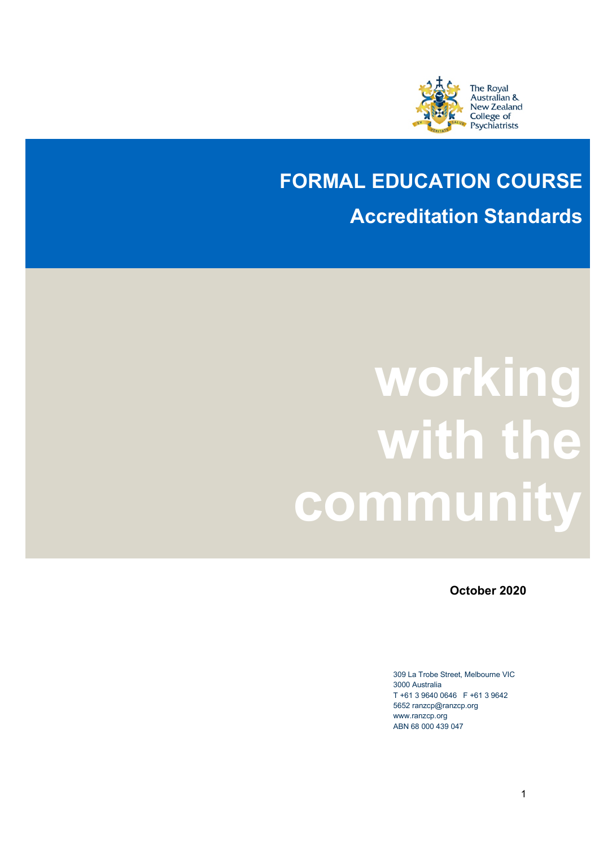

## **FORMAL EDUCATION COURSE Accreditation Standards**

## **working with the community**

**October 2020**

309 La Trobe Street, Melbourne VIC 3000 Australia T +61 3 9640 0646 F +61 3 9642 5652 ranzcp@ranzcp.org www.ranzcp.org ABN 68 000 439 047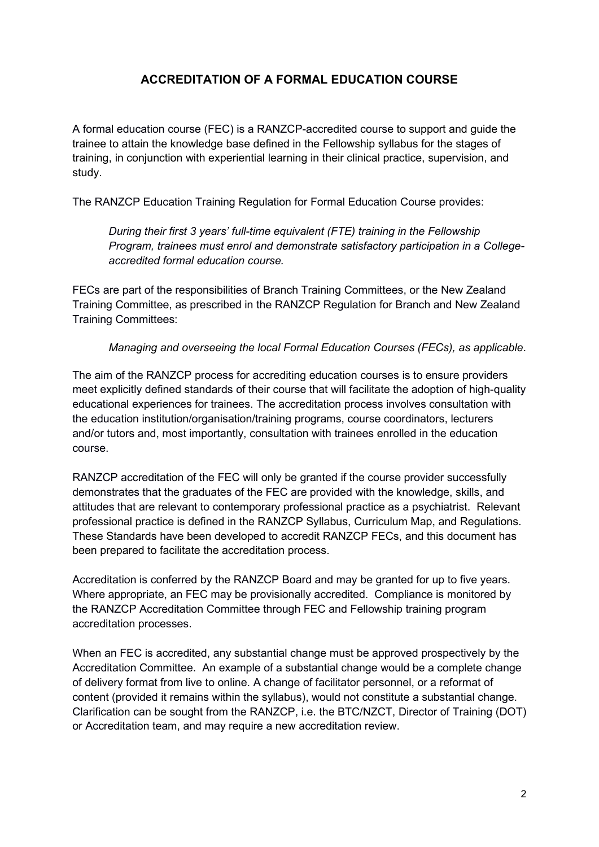## **ACCREDITATION OF A FORMAL EDUCATION COURSE**

A formal education course (FEC) is a RANZCP-accredited course to support and guide the trainee to attain the knowledge base defined in the Fellowship syllabus for the stages of training, in conjunction with experiential learning in their clinical practice, supervision, and study.

The RANZCP Education Training Regulation for Formal Education Course provides:

*During their first 3 years' full-time equivalent (FTE) training in the Fellowship Program, trainees must enrol and demonstrate satisfactory participation in a Collegeaccredited formal education course.*

FECs are part of the responsibilities of Branch Training Committees, or the New Zealand Training Committee, as prescribed in the RANZCP Regulation for Branch and New Zealand Training Committees:

*Managing and overseeing the local Formal Education Courses (FECs), as applicable*.

The aim of the RANZCP process for accrediting education courses is to ensure providers meet explicitly defined standards of their course that will facilitate the adoption of high-quality educational experiences for trainees. The accreditation process involves consultation with the education institution/organisation/training programs, course coordinators, lecturers and/or tutors and, most importantly, consultation with trainees enrolled in the education course.

RANZCP accreditation of the FEC will only be granted if the course provider successfully demonstrates that the graduates of the FEC are provided with the knowledge, skills, and attitudes that are relevant to contemporary professional practice as a psychiatrist. Relevant professional practice is defined in the RANZCP Syllabus, Curriculum Map, and Regulations. These Standards have been developed to accredit RANZCP FECs, and this document has been prepared to facilitate the accreditation process.

Accreditation is conferred by the RANZCP Board and may be granted for up to five years. Where appropriate, an FEC may be provisionally accredited. Compliance is monitored by the RANZCP Accreditation Committee through FEC and Fellowship training program accreditation processes.

When an FEC is accredited, any substantial change must be approved prospectively by the Accreditation Committee. An example of a substantial change would be a complete change of delivery format from live to online. A change of facilitator personnel, or a reformat of content (provided it remains within the syllabus), would not constitute a substantial change. Clarification can be sought from the RANZCP, i.e. the BTC/NZCT, Director of Training (DOT) or Accreditation team, and may require a new accreditation review.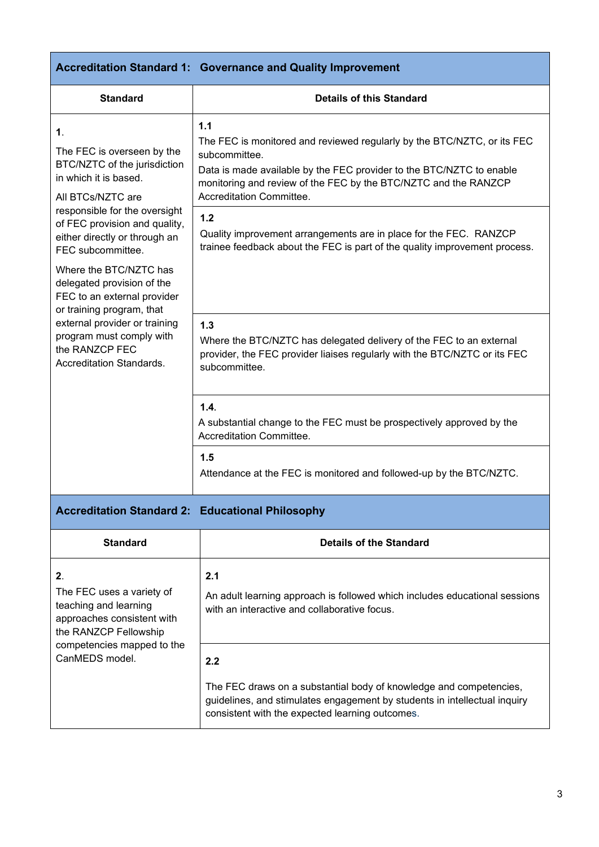|                                                                                                                                                                                                                             | <b>Accreditation Standard 1: Governance and Quality Improvement</b>                                                                                                                                                                                                    |  |  |
|-----------------------------------------------------------------------------------------------------------------------------------------------------------------------------------------------------------------------------|------------------------------------------------------------------------------------------------------------------------------------------------------------------------------------------------------------------------------------------------------------------------|--|--|
| <b>Standard</b>                                                                                                                                                                                                             | <b>Details of this Standard</b>                                                                                                                                                                                                                                        |  |  |
| 1.<br>The FEC is overseen by the<br>BTC/NZTC of the jurisdiction<br>in which it is based.<br>All BTCs/NZTC are                                                                                                              | 1.1<br>The FEC is monitored and reviewed regularly by the BTC/NZTC, or its FEC<br>subcommittee.<br>Data is made available by the FEC provider to the BTC/NZTC to enable<br>monitoring and review of the FEC by the BTC/NZTC and the RANZCP<br>Accreditation Committee. |  |  |
| responsible for the oversight<br>of FEC provision and quality,<br>either directly or through an<br>FEC subcommittee.                                                                                                        | 1.2<br>Quality improvement arrangements are in place for the FEC. RANZCP<br>trainee feedback about the FEC is part of the quality improvement process.                                                                                                                 |  |  |
| Where the BTC/NZTC has<br>delegated provision of the<br>FEC to an external provider<br>or training program, that<br>external provider or training<br>program must comply with<br>the RANZCP FEC<br>Accreditation Standards. |                                                                                                                                                                                                                                                                        |  |  |
|                                                                                                                                                                                                                             | 1.3<br>Where the BTC/NZTC has delegated delivery of the FEC to an external<br>provider, the FEC provider liaises regularly with the BTC/NZTC or its FEC<br>subcommittee.                                                                                               |  |  |
|                                                                                                                                                                                                                             | 1.4.<br>A substantial change to the FEC must be prospectively approved by the<br>Accreditation Committee.                                                                                                                                                              |  |  |
|                                                                                                                                                                                                                             | 1.5<br>Attendance at the FEC is monitored and followed-up by the BTC/NZTC.                                                                                                                                                                                             |  |  |
| <b>Accreditation Standard 2: Educational Philosophy</b>                                                                                                                                                                     |                                                                                                                                                                                                                                                                        |  |  |
| Other almost                                                                                                                                                                                                                | Batalla af tha Bia.                                                                                                                                                                                                                                                    |  |  |

| <b>Standard</b>                                                                                                                                                             | Details of the Standard                                                                                                                                                                            |  |
|-----------------------------------------------------------------------------------------------------------------------------------------------------------------------------|----------------------------------------------------------------------------------------------------------------------------------------------------------------------------------------------------|--|
| 2 <sub>1</sub><br>The FEC uses a variety of<br>teaching and learning<br>approaches consistent with<br>the RANZCP Fellowship<br>competencies mapped to the<br>CanMEDS model. | 2.1<br>An adult learning approach is followed which includes educational sessions<br>with an interactive and collaborative focus.                                                                  |  |
|                                                                                                                                                                             | 2.2                                                                                                                                                                                                |  |
|                                                                                                                                                                             | The FEC draws on a substantial body of knowledge and competencies,<br>guidelines, and stimulates engagement by students in intellectual inquiry<br>consistent with the expected learning outcomes. |  |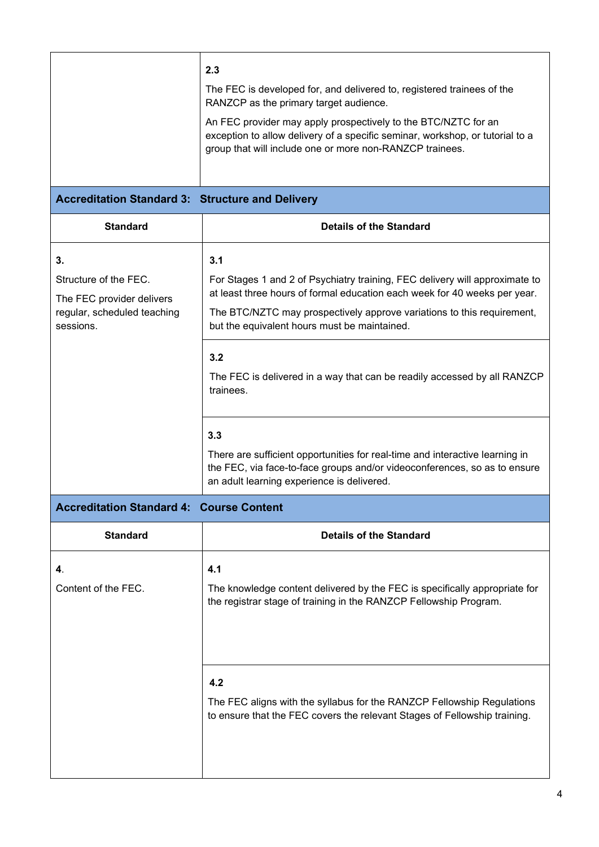|                                                         | 2.3                                                                                                                                                                                                         |  |  |
|---------------------------------------------------------|-------------------------------------------------------------------------------------------------------------------------------------------------------------------------------------------------------------|--|--|
|                                                         | The FEC is developed for, and delivered to, registered trainees of the<br>RANZCP as the primary target audience.                                                                                            |  |  |
|                                                         | An FEC provider may apply prospectively to the BTC/NZTC for an<br>exception to allow delivery of a specific seminar, workshop, or tutorial to a<br>group that will include one or more non-RANZCP trainees. |  |  |
| <b>Accreditation Standard 3: Structure and Delivery</b> |                                                                                                                                                                                                             |  |  |
| <b>Standard</b>                                         | <b>Details of the Standard</b>                                                                                                                                                                              |  |  |
| 3.                                                      | 3.1                                                                                                                                                                                                         |  |  |
| Structure of the FEC.<br>The FEC provider delivers      | For Stages 1 and 2 of Psychiatry training, FEC delivery will approximate to<br>at least three hours of formal education each week for 40 weeks per year.                                                    |  |  |
| regular, scheduled teaching<br>sessions.                | The BTC/NZTC may prospectively approve variations to this requirement,<br>but the equivalent hours must be maintained.                                                                                      |  |  |
|                                                         | 3.2                                                                                                                                                                                                         |  |  |
|                                                         | The FEC is delivered in a way that can be readily accessed by all RANZCP<br>trainees.                                                                                                                       |  |  |
|                                                         | 3.3                                                                                                                                                                                                         |  |  |
|                                                         | There are sufficient opportunities for real-time and interactive learning in<br>the FEC, via face-to-face groups and/or videoconferences, so as to ensure<br>an adult learning experience is delivered.     |  |  |
| <b>Accreditation Standard 4: Course Content</b>         |                                                                                                                                                                                                             |  |  |
| <b>Standard</b>                                         | <b>Details of the Standard</b>                                                                                                                                                                              |  |  |
| 4.                                                      | 4.1                                                                                                                                                                                                         |  |  |
| Content of the FEC.                                     | The knowledge content delivered by the FEC is specifically appropriate for<br>the registrar stage of training in the RANZCP Fellowship Program.                                                             |  |  |
|                                                         |                                                                                                                                                                                                             |  |  |
|                                                         | 4.2                                                                                                                                                                                                         |  |  |
|                                                         | The FEC aligns with the syllabus for the RANZCP Fellowship Regulations<br>to ensure that the FEC covers the relevant Stages of Fellowship training.                                                         |  |  |
|                                                         |                                                                                                                                                                                                             |  |  |